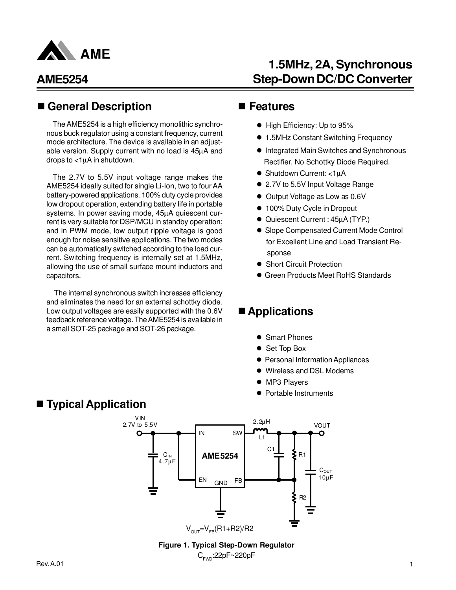

#### ■ General Description ■ Features

The AME5254 is a high efficiency monolithic synchronous buck regulator using a constant frequency, current mode architecture. The device is available in an adjustable version. Supply current with no load is 45µA and drops to  $<$ 1 $\mu$ A in shutdown.

The 2.7V to 5.5V input voltage range makes the AME5254 ideally suited for single Li-Ion, two to four AA battery-powered applications. 100% duty cycle provides low dropout operation, extending battery life in portable systems. In power saving mode, 45µA quiescent current is very suitable for DSP/MCU in standby operation; and in PWM mode, low output ripple voltage is good enough for noise sensitive applications. The two modes can be automatically switched according to the load current. Switching frequency is internally set at 1.5MHz, allowing the use of small surface mount inductors and capacitors.

The internal synchronous switch increases efficiency and eliminates the need for an external schottky diode. Low output voltages are easily supported with the 0.6V feedback reference voltage. The AME5254 is available in a small SOT-25 package and SOT-26 package.

# **1.5MHz, 2A, Synchronous Step-Down DC/DC Converter**

- High Efficiency: Up to 95%
- 1.5MHz Constant Switching Frequency
- $\bullet$  Integrated Main Switches and Synchronous Rectifier. No Schottky Diode Required.
- Shutdown Current: <1µA
- 2.7V to 5.5V Input Voltage Range
- Output Voltage as Low as 0.6V
- 100% Duty Cycle in Dropout
- Quiescent Current : 45µA (TYP.)
- Slope Compensated Current Mode Control for Excellent Line and Load Transient Re sponse
- Short Circuit Protection
- **Green Products Meet RoHS Standards**

#### ■ Applications

- **Smart Phones**
- Set Top Box
- **Personal Information Appliances**
- $\bullet$  Wireless and DSL Modems
- MP3 Players
- Portable Instruments

#### ■ **Typical Application**



#### **Figure 1. Typical Step-Down Regulator** C<sub>FwD</sub>:22pF∼220pF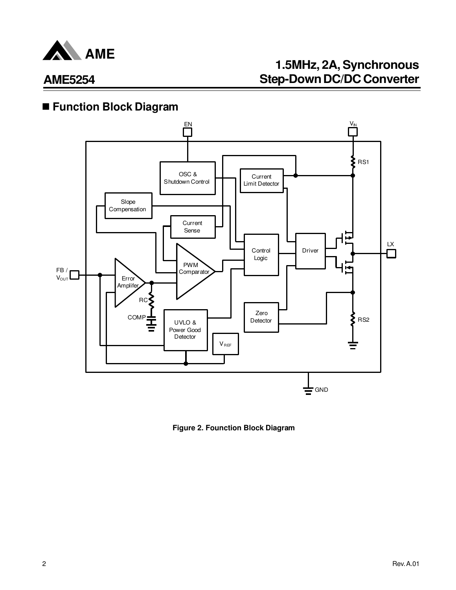

# **1.5MHz, 2A, Synchronous Step-Down DC/DC Converter**

## n **Function Block Diagram**



**Figure 2. Founction Block Diagram**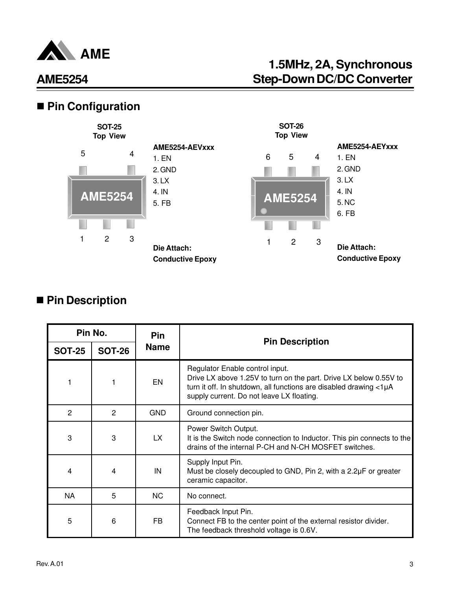

# **1.5MHz, 2A, Synchronous Step-Down DC/DC Converter**

## ■ Pin Configuration



### ■ Pin Description

|               | Pin No.        | <b>Pin</b>  | <b>Pin Description</b>                                                                                                                                                                                                 |
|---------------|----------------|-------------|------------------------------------------------------------------------------------------------------------------------------------------------------------------------------------------------------------------------|
| <b>SOT-25</b> | <b>SOT-26</b>  | <b>Name</b> |                                                                                                                                                                                                                        |
|               | 1              | <b>EN</b>   | Regulator Enable control input.<br>Drive LX above 1.25V to turn on the part. Drive LX below 0.55V to<br>turn it off. In shutdown, all functions are disabled drawing <1µA<br>supply current. Do not leave LX floating. |
| 2             | $\overline{2}$ | <b>GND</b>  | Ground connection pin.                                                                                                                                                                                                 |
| 3             | 3              | LX.         | Power Switch Output.<br>It is the Switch node connection to Inductor. This pin connects to the<br>drains of the internal P-CH and N-CH MOSFET switches.                                                                |
| 4             | 4              | IN          | Supply Input Pin.<br>Must be closely decoupled to GND, Pin 2, with a 2.2µF or greater<br>ceramic capacitor.                                                                                                            |
| <b>NA</b>     | 5              | <b>NC</b>   | No connect.                                                                                                                                                                                                            |
| 5             | 6              | <b>FB</b>   | Feedback Input Pin.<br>Connect FB to the center point of the external resistor divider.<br>The feedback threshold voltage is 0.6V.                                                                                     |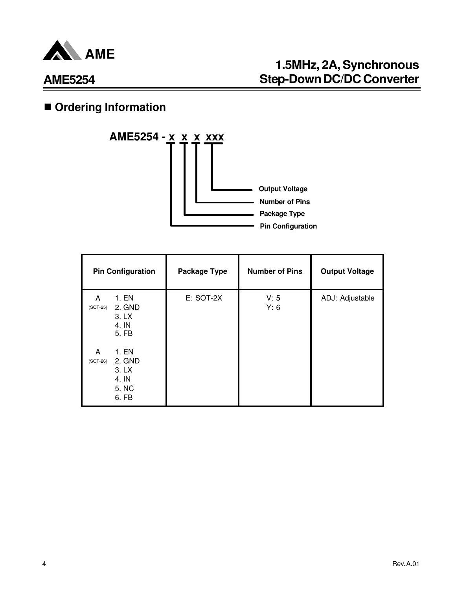

# **1.5MHz, 2A, Synchronous Step-Down DC/DC Converter**

# **n** Ordering Information



| <b>Pin Configuration</b>                                               | <b>Package Type</b> | <b>Number of Pins</b> | <b>Output Voltage</b> |
|------------------------------------------------------------------------|---------------------|-----------------------|-----------------------|
| 1. EN<br>A<br>2. GND<br>$(SOT-25)$<br>3. LX<br>4. IN<br>5. FB          | E: SOT-2X           | V: 5<br>Y: 6          | ADJ: Adjustable       |
| 1. EN<br>A<br>2. GND<br>$(SOT-26)$<br>3. LX<br>4. IN<br>5. NC<br>6. FB |                     |                       |                       |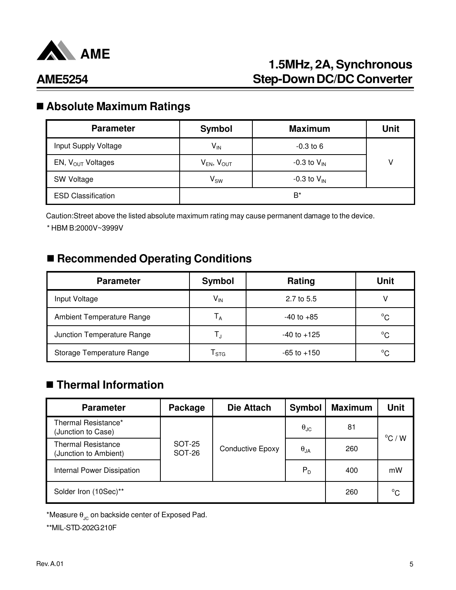

# **1.5MHz, 2A, Synchronous Step-Down DC/DC Converter**

# n **Absolute Maximum Ratings**

| <b>Parameter</b>              | <b>Symbol</b>              | <b>Maximum</b>   | Unit |
|-------------------------------|----------------------------|------------------|------|
| Input Supply Voltage          | $\mathsf{V}_{\mathsf{IN}}$ | $-0.3$ to 6      |      |
| EN, $V_{\text{OUT}}$ Voltages | $V_{EN}$ , $V_{OUT}$       | -0.3 to $V_{IN}$ | V    |
| SW Voltage                    | $\mathsf{V}_\mathsf{SW}$   | -0.3 to $V_{IN}$ |      |
| <b>ESD Classification</b>     |                            | B*               |      |

Caution:Street above the listed absolute maximum rating may cause permanent damage to the device. \* HBM B:2000V~3999V

#### ■ Recommended Operating Conditions

| Symbol                      | Rating          | <b>Unit</b>  |
|-----------------------------|-----------------|--------------|
| $\mathsf{V}_{\mathsf{IN}}$  | 2.7 to 5.5      |              |
| Т <sub>а</sub>              | $-40$ to $+85$  | $^{\circ}C$  |
| Т,                          | $-40$ to $+125$ | $^{\circ}$ C |
| $\mathsf{I}_{\texttt{STG}}$ | $-65$ to $+150$ | $^{\circ}C$  |
|                             |                 |              |

### n **Thermal Information**

| <b>Parameter</b>                                   | Package                 | <b>Die Attach</b> | <b>Symbol</b>        | <b>Maximum</b> | <b>Unit</b>      |
|----------------------------------------------------|-------------------------|-------------------|----------------------|----------------|------------------|
| Thermal Resistance*<br>(Junction to Case)          |                         |                   | $\theta_{\text{JC}}$ | 81             | $^{\circ}$ C / W |
| <b>Thermal Resistance</b><br>(Junction to Ambient) | <b>SOT-25</b><br>SOT-26 | Conductive Epoxy  | $\theta_{JA}$        | 260            |                  |
| Internal Power Dissipation                         |                         |                   | $P_D$                | 400            | mW               |
| Solder Iron (10Sec)**                              |                         |                   |                      | 260            | $^{\circ}C$      |

\*Measure  $\theta_{\text{JC}}$  on backside center of Exposed Pad.

\*\*MIL-STD-202G 210F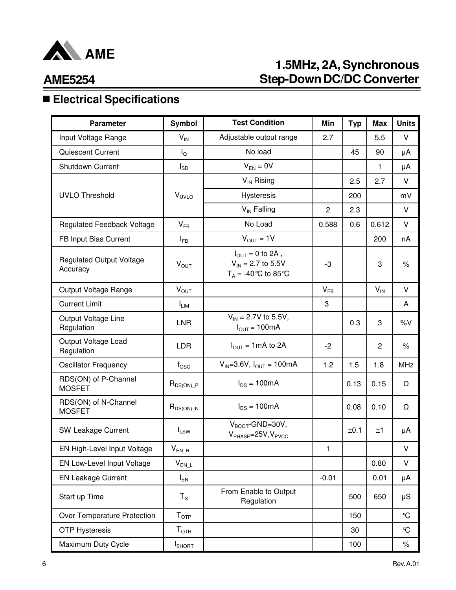

# **1.5MHz, 2A, Synchronous Step-Down DC/DC Converter**

### **AME5254**

# n **Electrical Specifications**

| <b>Parameter</b>                            | Symbol                    | <b>Test Condition</b>                                                                   | Min            | <b>Typ</b> | <b>Max</b>     | <b>Units</b>  |
|---------------------------------------------|---------------------------|-----------------------------------------------------------------------------------------|----------------|------------|----------------|---------------|
| Input Voltage Range                         | $V_{IN}$                  | Adjustable output range                                                                 | 2.7            |            | 5.5            | V             |
| Quiescent Current                           | $I_{\rm Q}$               | No load                                                                                 |                | 45         | 90             | μA            |
| Shutdown Current                            | $I_{SD}$                  | $V_{EN} = 0V$                                                                           |                |            | 1              | μA            |
|                                             |                           | $V_{IN}$ Rising                                                                         |                | 2.5        | 2.7            | V             |
| <b>UVLO Threshold</b>                       | <b>V<sub>UVLO</sub></b>   | <b>Hysteresis</b>                                                                       |                | 200        |                | mV            |
|                                             |                           | $V_{IN}$ Falling                                                                        | $\overline{c}$ | 2.3        |                | V             |
| Regulated Feedback Voltage                  | $V_{FB}$                  | No Load                                                                                 | 0.588          | 0.6        | 0.612          | V             |
| FB Input Bias Current                       | $I_{FB}$                  | $V_{OUT} = 1V$                                                                          |                |            | 200            | nA            |
| <b>Regulated Output Voltage</b><br>Accuracy | $V_{OUT}$                 | $I_{\text{OUT}} = 0$ to 2A,<br>$V_{\text{IN}}$ = 2.7 to 5.5V<br>$T_A = -40$ °C to 85 °C | -3             |            | 3              | $\%$          |
| Output Voltage Range                        | $V_{OUT}$                 |                                                                                         | $V_{FB}$       |            | $V_{IN}$       | V             |
| <b>Current Limit</b>                        | $I_{LIM}$                 |                                                                                         | 3              |            |                | A             |
| Output Voltage Line<br>Regulation           | <b>LNR</b>                | $V_{IN} = 2.7V$ to 5.5V,<br>$I_{OUT} = 100mA$                                           |                | 0.3        | 3              | %V            |
| Output Voltage Load<br>Regulation           | <b>LDR</b>                | $I_{OUT} = 1mA$ to 2A                                                                   | $-2$           |            | $\overline{c}$ | $\%$          |
| <b>Oscillator Frequency</b>                 | $f_{\rm OSC}$             | $V_{IN} = 3.6V$ , $I_{OUT} = 100mA$                                                     | 1.2            | 1.5        | 1.8            | <b>MHz</b>    |
| RDS(ON) of P-Channel<br><b>MOSFET</b>       | $R_{DS(ON)_P}$            | $I_{DS} = 100mA$                                                                        |                | 0.13       | 0.15           | Ω             |
| RDS(ON) of N-Channel<br><b>MOSFET</b>       | $R_{DS(ON)\_N}$           | $I_{DS} = 100mA$                                                                        |                | 0.08       | 0.10           | Ω             |
| SW Leakage Current                          | $I_{LSW}$                 | $V_{\text{BOOT}}$ -GND=30V,<br>$V_{PHASE} = 25V, V_{PVCC}$                              |                | ±0.1       | ±1             | μA            |
| EN High-Level Input Voltage                 | $V_{EN_H}$                |                                                                                         | 1              |            |                | v             |
| EN Low-Level Input Voltage                  | $V_{EN\_L}$               |                                                                                         |                |            | 0.80           | V             |
| <b>EN Leakage Current</b>                   | $I_{EN}$                  |                                                                                         | $-0.01$        |            | 0.01           | μA            |
| Start up Time                               | $T_S$                     | From Enable to Output<br>Regulation                                                     |                | 500        | 650            | μS            |
| Over Temperature Protection                 | $\mathsf{T}_{\text{OTP}}$ |                                                                                         |                | 150        |                | $\mathcal{C}$ |
| <b>OTP Hysteresis</b>                       | $T_{\text{OTH}}$          |                                                                                         |                | 30         |                | $\mathcal{C}$ |
| Maximum Duty Cycle                          | <b>I</b> SHORT            |                                                                                         |                | 100        |                | $\%$          |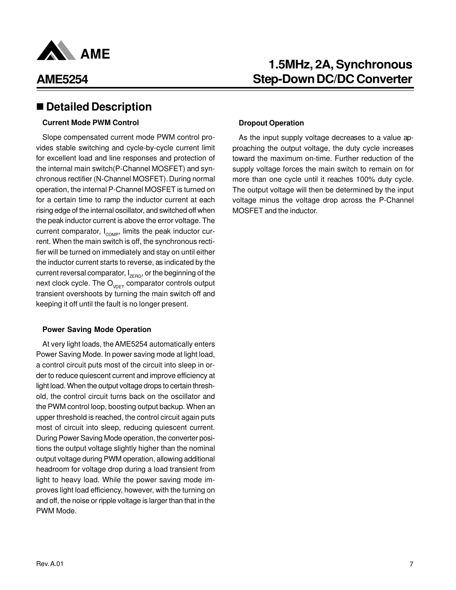

#### ■ Detailed Description

#### **Current Mode PWM Control**

Slope compensated current mode PWM control provides stable switching and cycle-by-cycle current limit for excellent load and line responses and protection of the internal main switch(P-Channel MOSFET) and synchronous rectifier (N-Channel MOSFET). During normal operation, the internal P-Channel MOSFET is turned on for a certain time to ramp the inductor current at each rising edge of the internal oscillator, and switched off when the peak inductor current is above the error voltage. The current comparator,  $I_{\text{COMP}}$ , limits the peak inductor current. When the main switch is off, the synchronous rectifier will be turned on immediately and stay on until either the inductor current starts to reverse, as indicated by the current reversal comparator,  $I_{\text{ZERO}}$ , or the beginning of the next clock cycle. The  $O_{V\cap F}$  comparator controls output transient overshoots by turning the main switch off and keeping it off until the fault is no longer present.

#### **Power Saving Mode Operation**

At very light loads, the AME5254 automatically enters Power Saving Mode. In power saving mode at light load, a control circuit puts most of the circuit into sleep in order to reduce quiescent current and improve efficiency at light load. When the output voltage drops to certain threshold, the control circuit turns back on the oscillator and the PWM control loop, boosting output backup. When an upper threshold is reached, the control circuit again puts most of circuit into sleep, reducing quiescent current. During Power Saving Mode operation, the converter positions the output voltage slightly higher than the nominal output voltage during PWM operation, allowing additional headroom for voltage drop during a load transient from light to heavy load. While the power saving mode improves light load efficiency, however, with the turning on and off, the noise or ripple voltage is larger than that in the PWM Mode.

### **1.5MHz, 2A, Synchronous Step-Down DC/DC Converter**

#### **Dropout Operation**

As the input supply voltage decreases to a value approaching the output voltage, the duty cycle increases toward the maximum on-time. Further reduction of the supply voltage forces the main switch to remain on for more than one cycle until it reaches 100% duty cycle. The output voltage will then be determined by the input voltage minus the voltage drop across the P-Channel MOSFET and the inductor.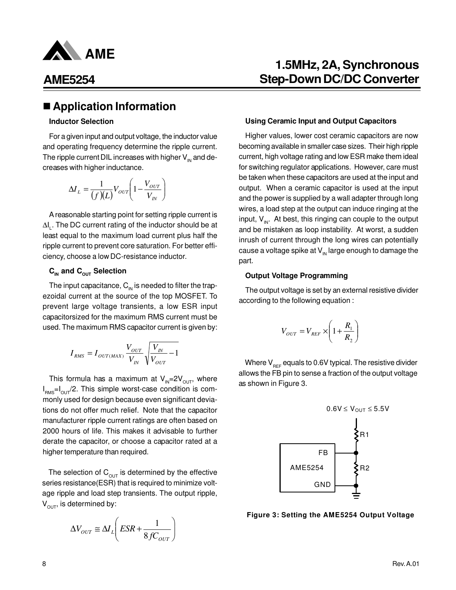

#### ■ Application Information

#### **Inductor Selection**

For a given input and output voltage, the inductor value and operating frequency determine the ripple current. The ripple current DIL increases with higher  $V_{\text{IN}}$  and decreases with higher inductance.

$$
\Delta I_L = \frac{1}{(f)(L)} V_{OUT} \left( 1 - \frac{V_{OUT}}{V_{IN}} \right)
$$

A reasonable starting point for setting ripple current is ∆I<sub>L</sub>. The DC current rating of the inductor should be at least equal to the maximum load current plus half the ripple current to prevent core saturation. For better efficiency, choose a low DC-resistance inductor.

#### $C_{\text{IN}}$  and  $C_{\text{OUT}}$  Selection

The input capacitance,  $C_{\text{IN}}$  is needed to filter the trapezoidal current at the source of the top MOSFET. To prevent large voltage transients, a low ESR input capacitorsized for the maximum RMS current must be used. The maximum RMS capacitor current is given by:

$$
I_{\rm RMS}=I_{\rm OUT(MAX)}\frac{V_{\rm OUT}}{V_{\rm IN}}\sqrt{\frac{V_{\rm IN}}{V_{\rm OUT}}-1}
$$

This formula has a maximum at  $V_{\text{N}}=2V_{\text{OUT}}$ , where  $I_{\rm RMS}$ = $I_{\rm OUT}/2$ . This simple worst-case condition is commonly used for design because even significant deviations do not offer much relief. Note that the capacitor manufacturer ripple current ratings are often based on 2000 hours of life. This makes it advisable to further derate the capacitor, or choose a capacitor rated at a higher temperature than required.

The selection of  $C_{OUT}$  is determined by the effective series resistance(ESR) that is required to minimize voltage ripple and load step transients. The output ripple,  $V<sub>OUT</sub>$ , is determined by:

$$
\Delta V_{OUT} \cong \Delta I_L \left( ESR + \frac{1}{8 f C_{OUT}} \right)
$$

### **1.5MHz, 2A, Synchronous Step-Down DC/DC Converter**

#### **Using Ceramic Input and Output Capacitors**

Higher values, lower cost ceramic capacitors are now becoming available in smaller case sizes. Their high ripple current, high voltage rating and low ESR make them ideal for switching regulator applications. However, care must be taken when these capacitors are used at the input and output. When a ceramic capacitor is used at the input and the power is supplied by a wall adapter through long wires, a load step at the output can induce ringing at the input,  $V_{\text{in}}$ . At best, this ringing can couple to the output and be mistaken as loop instability. At worst, a sudden inrush of current through the long wires can potentially cause a voltage spike at  $V_{\text{IN}}$  large enough to damage the part.

#### **Output Voltage Programming**

The output voltage is set by an external resistive divider according to the following equation :

$$
V_{OUT} = V_{REF} \times \left(1 + \frac{R_1}{R_2}\right)
$$

Where  $V_{REF}$  equals to 0.6V typical. The resistive divider allows the FB pin to sense a fraction of the output voltage as shown in Figure 3.



**Figure 3: Setting the AME5254 Output Voltage**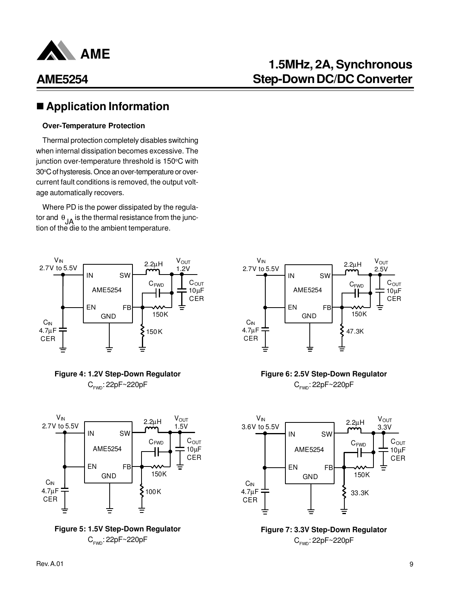

# **1.5MHz, 2A, Synchronous Step-Down DC/DC Converter**

### ■ Application Information

#### **Over-Temperature Protection**

Thermal protection completely disables switching when internal dissipation becomes excessive. The junction over-temperature threshold is 150°C with 30°C of hysteresis. Once an over-temperature or overcurrent fault conditions is removed, the output voltage automatically recovers.

Where PD is the power dissipated by the regulator and  $\theta_{\mathsf{JA}}$  is the thermal resistance from the junction of the die to the ambient temperature.











#### **Figure 6: 2.5V Step-Down Regulator** C<sub>rwD</sub>: 22pF~220pF



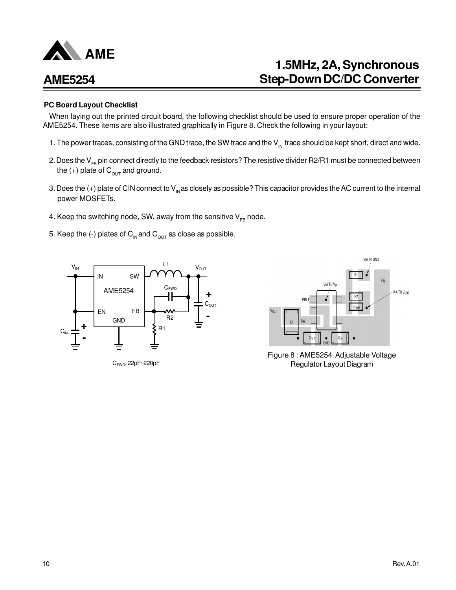

# **1.5MHz, 2A, Synchronous Step-Down DC/DC Converter**

#### **PC Board Layout Checklist**

When laying out the printed circuit board, the following checklist should be used to ensure proper operation of the AME5254. These items are also illustrated graphically in Figure 8. Check the following in your layout:

- 1. The power traces, consisting of the GND trace, the SW trace and the  $V_{\text{in}}$  trace should be kept short, direct and wide.
- 2. Does the  $V_{FB}$  pin connect directly to the feedback resistors? The resistive divider R2/R1 must be connected between the  $(+)$  plate of  $C_{\text{OUT}}$  and ground.
- 3. Does the  $(+)$  plate of CIN connect to  $V_{in}$  as closely as possible? This capacitor provides the AC current to the internal power MOSFETs.
- 4. Keep the switching node, SW, away from the sensitive  $V_{FB}$  node.
- 5. Keep the (-) plates of  $C_{\text{IN}}$  and  $C_{\text{OUT}}$  as close as possible.



CFWD: 22pF~220pF



Figure 8 : AME5254 Adjustable Voltage Regulator Layout Diagram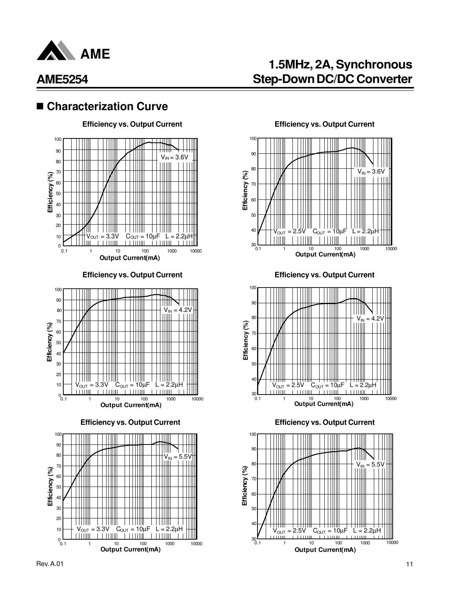

#### ■ Characterization Curve







#### **Efficiency vs. Output Current Efficiency vs. Output Current**

**1.5MHz, 2A, Synchronous**

**Step-Down DC/DC Converter**



**Efficiency vs. Output Current Efficiency vs. Output Current**



**Efficiency vs. Output Current Efficiency vs. Output Current**

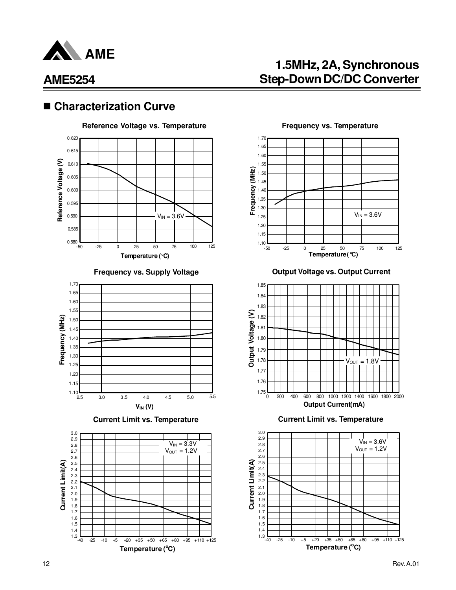

#### ■ Characterization Curve





**Current Limit vs. Temperature Current Limit vs. Temperature**



**1.5MHz, 2A, Synchronous Step-Down DC/DC Converter**



**Frequency vs. Supply Voltage Community Current Current Current** 



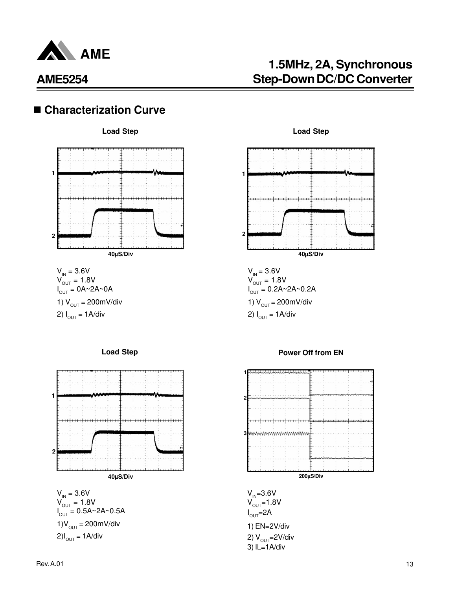

# **1.5MHz, 2A, Synchronous Step-Down DC/DC Converter**

### ■ Characterization Curve



 $V_{IN} = 3.6V$  $V_{\text{OUT}}^{^{114}} = 1.8V$  $I_{\text{OUT}}^{\text{OUT}} = 0A \sim 2A \sim 0A$ 1)  $V_{OUT} = 200$ mV/div 2)  $I_{OUT} = 1$  A/div





#### **Load Step Load Step**



 $V_{IN} = 3.6V$  $V_{OUT}^{'''} = 1.8V$  $I_{\text{OUT}} = 0.2A - 2A - 0.2A$ 1)  $V_{OUT} = 200$ mV/div 2)  $I_{OUT} = 1A/div$ 



 $V_{IN} = 3.6V$  $V_{OUT}^{IN} = 1.8V$  $I_{OUT} = 2A$ 1) EN=2V/div 2)  $V_{OUT} = 2V/div$ 3) IL=1A/div

#### **Power Off from EN**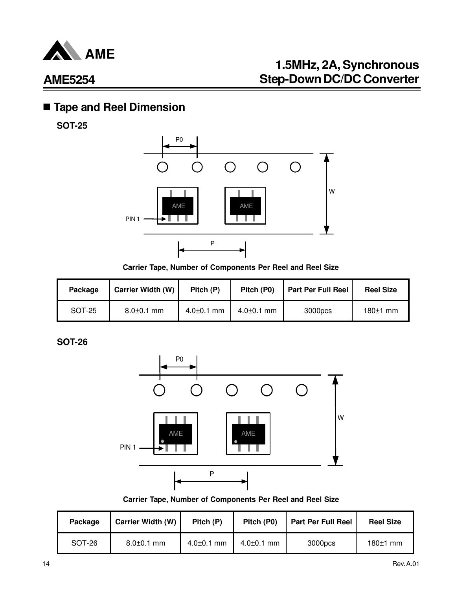

# **1.5MHz, 2A, Synchronous Step-Down DC/DC Converter**

## n **Tape and Reel Dimension**

**SOT-25**



**Carrier Tape, Number of Components Per Reel and Reel Size**

| Package | <b>Carrier Width (W)</b> | Pitch (P)        | Pitch (P0)       | <b>Part Per Full Reel</b> | <b>Reel Size</b> |
|---------|--------------------------|------------------|------------------|---------------------------|------------------|
| SOT-25  | $8.0 \pm 0.1$ mm         | $4.0 \pm 0.1$ mm | $4.0{\pm}0.1$ mm | 3000pcs                   | $180±1$ mm       |

**SOT-26**



**Carrier Tape, Number of Components Per Reel and Reel Size**

| Package | <b>Carrier Width (W)</b> | Pitch (P)        | Pitch (P0)       | <b>Part Per Full Reel</b> | <b>Reel Size</b> |
|---------|--------------------------|------------------|------------------|---------------------------|------------------|
| SOT-26  | $8.0 \pm 0.1$ mm         | $4.0{\pm}0.1$ mm | $4.0{\pm}0.1$ mm | 3000pcs                   | $180±1$ mm       |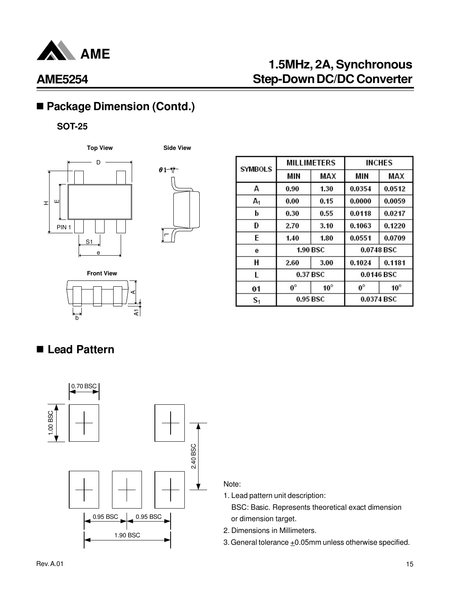

# **1.5MHz, 2A, Synchronous Step-Down DC/DC Converter**

# ■ Package Dimension (Contd.)

#### **SOT-25**





| <b>SYMBOLS</b> |             | <b>MILLIMETERS</b> | <b>INCHES</b> |              |  |
|----------------|-------------|--------------------|---------------|--------------|--|
|                | MIN         | MAX                | MIN           | MAX          |  |
| A              | 0.90        | 1.30               | 0.0354        | 0.0512       |  |
| $A_1$          | 0.00        | 0.15               | 0.0000        | 0.0059       |  |
| b              | 0.30        | 0.55               | 0.0118        | 0.0217       |  |
| D              | 2.70        | 3.10               | 0.1063        | 0.1220       |  |
| E              | 1.40        | 1.80               | 0.0551        | 0.0709       |  |
| е              |             | <b>1.90 BSC</b>    | 0.0748 BSC    |              |  |
| Н              | 2.60        | 3.00               | 0.1024        | 0.1181       |  |
| L              | 0.37 BSC    |                    | 0.0146 BSC    |              |  |
| θ1             | $0^{\circ}$ | $10^{\circ}$       | $0^\circ$     | $10^{\circ}$ |  |
| S <sub>1</sub> | 0.95 BSC    |                    |               | 0.0374 BSC   |  |

**Front View** হ b A

# ■ Lead Pattern



Note:

1. Lead pattern unit description:

 BSC: Basic. Represents theoretical exact dimension or dimension target.

2. Dimensions in Millimeters.

3. General tolerance  $\pm 0.05$ mm unless otherwise specified.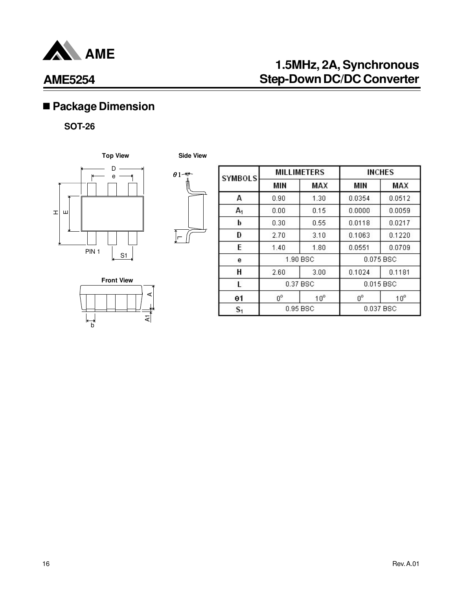

# **1.5MHz, 2A, Synchronous Step-Down DC/DC Converter**

# n **Package Dimension**

#### **SOT-26**



**Side View**

 $\theta$ 1

 $\theta$ 1-#





| <b>SYMBOLS</b> | <b>MILLIMETERS</b> |              |             | <b>INCHES</b> |
|----------------|--------------------|--------------|-------------|---------------|
|                | <b>MIN</b>         | MAX          | MIN         | MAX           |
| А              | 0.90               | 1.30         | 0.0354      | 0.0512        |
| $A_1$          | 0.00               | 0.15         | 0.0000      | 0.0059        |
| b              | 0.30               | 0.55         | 0.0118      | 0.0217        |
| D              | 2.70               | 3.10         | 0.1063      | 0.1220        |
| E              | 1.40               | 1.80         | 0.0551      | 0.0709        |
| е              | 1.90 BSC           |              | 0.075 BSC   |               |
| H              | 2.60               | 3.00         | 0.1024      | 0.1181        |
|                | 0.37 BSC           |              |             | $0.015$ BSC   |
| θ1             | $0^{\circ}$        | $10^{\circ}$ | $0^{\circ}$ | $10^{\circ}$  |
| $S_1$          | 0.95 BSC           |              |             | 0.037 BSC     |